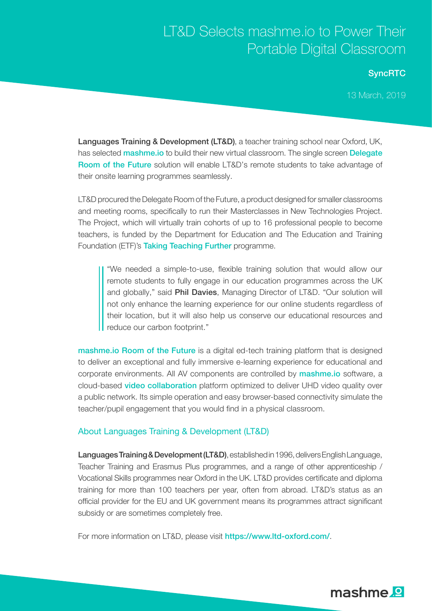## LT&D Selects mashme.io to Power Their Portable Digital Classroom

## **SyncRTC**

13 March, 2019

Languages Training & Development (LT&D), a teacher training school near Oxford, UK, has selected **[mashme.io](https://www.mashme.io/)** to build their new virtual classroom. The single screen [Delegate](https://mashme.io/docs/brochures/en/delegate-room/) [Room of the Future](https://mashme.io/docs/brochures/en/delegate-room/) solution will enable LT&D's remote students to take advantage of their onsite learning programmes seamlessly.

LT&D procured the Delegate Room of the Future, a product designed for smaller classrooms and meeting rooms, specifically to run their Masterclasses in New Technologies Project. The Project, which will virtually train cohorts of up to 16 professional people to become teachers, is funded by the Department for Education and The Education and Training Foundation (ETF)'s [Taking Teaching Further](https://www.et-foundation.co.uk/supporting/support-teacher-recruitment/taking-teaching-further/) programme.

"We needed a simple-to-use, flexible training solution that would allow our remote students to fully engage in our education programmes across the UK and globally," said **Phil Davies**, Managing Director of LT&D. "Our solution will not only enhance the learning experience for our online students regardless of their location, but it will also help us conserve our educational resources and reduce our carbon footprint."

[mashme.io Room of the Future](https://www.mashme.io/solutions-room-of-the-future.html) is a digital ed-tech training platform that is designed to deliver an exceptional and fully immersive e-learning experience for educational and corporate environments. All AV components are controlled by **[mashme.io](https://www.mashme.io/)** software, a cloud-based [video collaboration](https://www.mashme.io) platform optimized to deliver UHD video quality over a public network. Its simple operation and easy browser-based connectivity simulate the teacher/pupil engagement that you would find in a physical classroom.

## About Languages Training & Development (LT&D)

Languages Training & Development (LT&D), established in 1996, delivers English Language, Teacher Training and Erasmus Plus programmes, and a range of other apprenticeship / Vocational Skills programmes near Oxford in the UK. LT&D provides certificate and diploma training for more than 100 teachers per year, often from abroad. LT&D's status as an official provider for the EU and UK government means its programmes attract significant subsidy or are sometimes completely free.

For more information on LT&D, please visit <https://www.ltd-oxford.com/>.